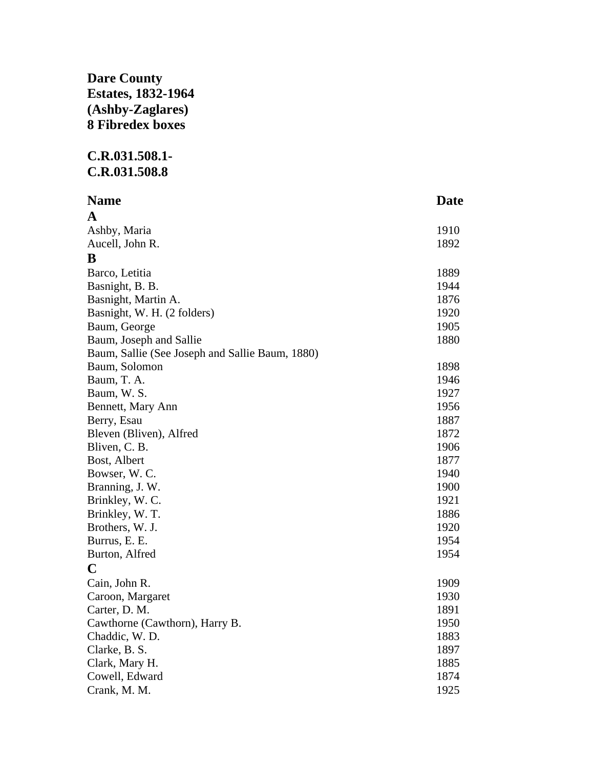## **Dare County Estates, 1832-1964 (Ashby-Zaglares) 8 Fibredex boxes**

## **C.R.031.508.1- C.R.031.508.8**

| <b>Name</b>                                     | <b>Date</b> |
|-------------------------------------------------|-------------|
| A                                               |             |
| Ashby, Maria                                    | 1910        |
| Aucell, John R.                                 | 1892        |
| B                                               |             |
| Barco, Letitia                                  | 1889        |
| Basnight, B. B.                                 | 1944        |
| Basnight, Martin A.                             | 1876        |
| Basnight, W. H. (2 folders)                     | 1920        |
| Baum, George                                    | 1905        |
| Baum, Joseph and Sallie                         | 1880        |
| Baum, Sallie (See Joseph and Sallie Baum, 1880) |             |
| Baum, Solomon                                   | 1898        |
| Baum, T. A.                                     | 1946        |
| Baum, W. S.                                     | 1927        |
| Bennett, Mary Ann                               | 1956        |
| Berry, Esau                                     | 1887        |
| Bleven (Bliven), Alfred                         | 1872        |
| Bliven, C. B.                                   | 1906        |
| Bost, Albert                                    | 1877        |
| Bowser, W. C.                                   | 1940        |
| Branning, J. W.                                 | 1900        |
| Brinkley, W. C.                                 | 1921        |
| Brinkley, W. T.                                 | 1886        |
| Brothers, W. J.                                 | 1920        |
| Burrus, E. E.                                   | 1954        |
| Burton, Alfred                                  | 1954        |
| $\mathbf C$                                     |             |
| Cain, John R.                                   | 1909        |
| Caroon, Margaret                                | 1930        |
| Carter, D. M.                                   | 1891        |
| Cawthorne (Cawthorn), Harry B.                  | 1950        |
| Chaddic, W.D.                                   | 1883        |
| Clarke, B. S.                                   | 1897        |
| Clark, Mary H.                                  | 1885        |
| Cowell, Edward                                  | 1874        |
| Crank, M. M.                                    | 1925        |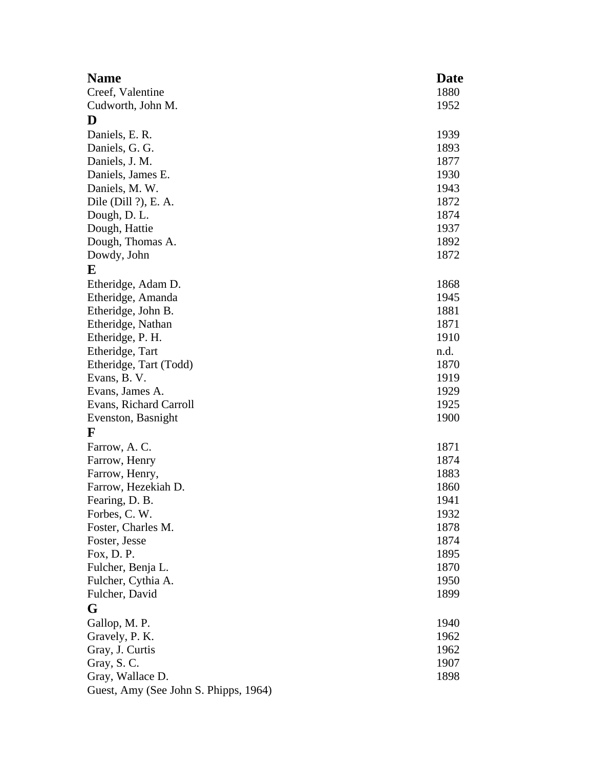| <b>Name</b>                             | Date |
|-----------------------------------------|------|
| Creef, Valentine                        | 1880 |
| Cudworth, John M.                       | 1952 |
| D                                       |      |
| Daniels, E. R.                          | 1939 |
| Daniels, G. G.                          | 1893 |
| Daniels, J. M.                          | 1877 |
| Daniels, James E.                       | 1930 |
| Daniels, M. W.                          | 1943 |
| Dile (Dill $?$ ), E. A.                 | 1872 |
| Dough, D. L.                            | 1874 |
| Dough, Hattie                           | 1937 |
| Dough, Thomas A.                        | 1892 |
| Dowdy, John                             | 1872 |
| E                                       |      |
| Etheridge, Adam D.                      | 1868 |
|                                         | 1945 |
| Etheridge, Amanda<br>Etheridge, John B. | 1881 |
|                                         | 1871 |
| Etheridge, Nathan                       | 1910 |
| Etheridge, P. H.                        |      |
| Etheridge, Tart                         | n.d. |
| Etheridge, Tart (Todd)                  | 1870 |
| Evans, B. V.                            | 1919 |
| Evans, James A.                         | 1929 |
| Evans, Richard Carroll                  | 1925 |
| Evenston, Basnight                      | 1900 |
| $\mathbf F$                             |      |
| Farrow, A.C.                            | 1871 |
| Farrow, Henry                           | 1874 |
| Farrow, Henry,                          | 1883 |
| Farrow, Hezekiah D.                     | 1860 |
| Fearing, D. B.                          | 1941 |
| Forbes, C. W.                           | 1932 |
| Foster, Charles M.                      | 1878 |
| Foster, Jesse                           | 1874 |
| Fox, $D. P.$                            | 1895 |
| Fulcher, Benja L.                       | 1870 |
| Fulcher, Cythia A.                      | 1950 |
| Fulcher, David                          | 1899 |
| G                                       |      |
| Gallop, M. P.                           | 1940 |
| Gravely, P. K.                          | 1962 |
| Gray, J. Curtis                         | 1962 |
| Gray, S.C.                              | 1907 |
| Gray, Wallace D.                        | 1898 |
| Guest, Amy (See John S. Phipps, 1964)   |      |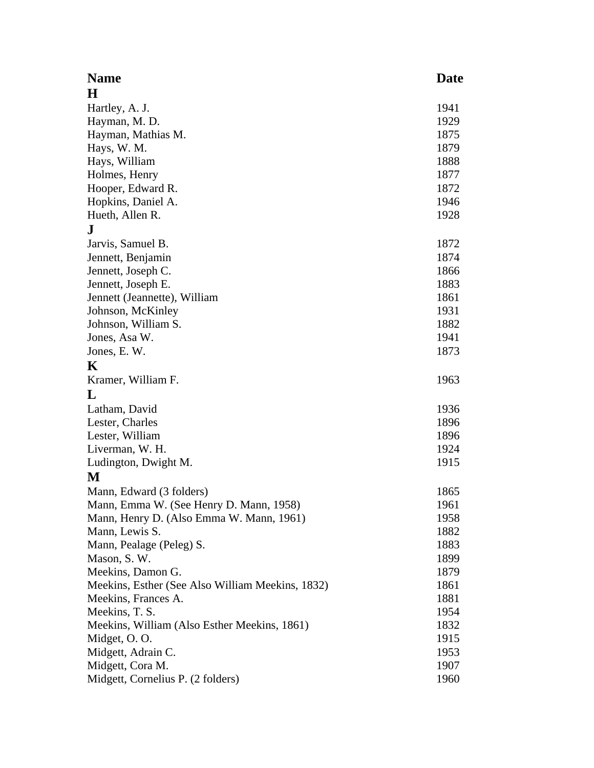| <b>Name</b>                                      | Date |
|--------------------------------------------------|------|
| $\bf H$                                          |      |
| Hartley, A. J.                                   | 1941 |
| Hayman, M. D.                                    | 1929 |
| Hayman, Mathias M.                               | 1875 |
| Hays, W. M.                                      | 1879 |
| Hays, William                                    | 1888 |
| Holmes, Henry                                    | 1877 |
| Hooper, Edward R.                                | 1872 |
| Hopkins, Daniel A.                               | 1946 |
| Hueth, Allen R.                                  | 1928 |
| ${\bf J}$                                        |      |
| Jarvis, Samuel B.                                | 1872 |
| Jennett, Benjamin                                | 1874 |
| Jennett, Joseph C.                               | 1866 |
| Jennett, Joseph E.                               | 1883 |
| Jennett (Jeannette), William                     | 1861 |
| Johnson, McKinley                                | 1931 |
| Johnson, William S.                              | 1882 |
| Jones, Asa W.                                    | 1941 |
| Jones, E.W.                                      | 1873 |
| K                                                |      |
| Kramer, William F.                               | 1963 |
| L                                                |      |
| Latham, David                                    | 1936 |
| Lester, Charles                                  | 1896 |
| Lester, William                                  | 1896 |
| Liverman, W. H.                                  | 1924 |
| Ludington, Dwight M.                             | 1915 |
| M                                                |      |
| Mann, Edward (3 folders)                         | 1865 |
| Mann, Emma W. (See Henry D. Mann, 1958)          | 1961 |
| Mann, Henry D. (Also Emma W. Mann, 1961)         | 1958 |
| Mann, Lewis S.                                   | 1882 |
| Mann, Pealage (Peleg) S.                         | 1883 |
| Mason, S.W.                                      | 1899 |
| Meekins, Damon G.                                | 1879 |
| Meekins, Esther (See Also William Meekins, 1832) | 1861 |
| Meekins, Frances A.                              | 1881 |
| Meekins, T. S.                                   | 1954 |
| Meekins, William (Also Esther Meekins, 1861)     | 1832 |
| Midget, O.O.                                     | 1915 |
| Midgett, Adrain C.                               | 1953 |
| Midgett, Cora M.                                 | 1907 |
| Midgett, Cornelius P. (2 folders)                | 1960 |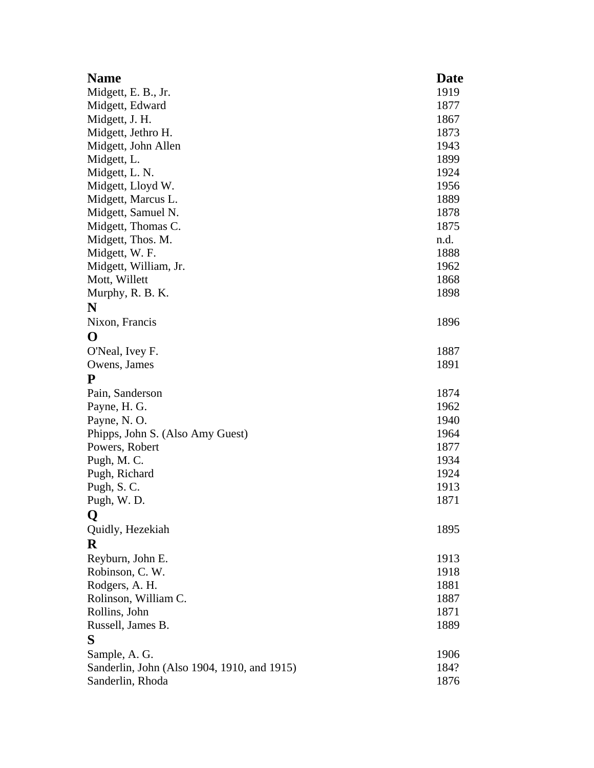| <b>Name</b>                                 | Date |
|---------------------------------------------|------|
| Midgett, E. B., Jr.                         | 1919 |
| Midgett, Edward                             | 1877 |
| Midgett, J. H.                              | 1867 |
| Midgett, Jethro H.                          | 1873 |
| Midgett, John Allen                         | 1943 |
| Midgett, L.                                 | 1899 |
| Midgett, L. N.                              | 1924 |
| Midgett, Lloyd W.                           | 1956 |
| Midgett, Marcus L.                          | 1889 |
| Midgett, Samuel N.                          | 1878 |
| Midgett, Thomas C.                          | 1875 |
| Midgett, Thos. M.                           | n.d. |
| Midgett, W. F.                              | 1888 |
| Midgett, William, Jr.                       | 1962 |
| Mott, Willett                               | 1868 |
| Murphy, R. B. K.                            | 1898 |
| N                                           |      |
| Nixon, Francis                              | 1896 |
| O                                           |      |
| O'Neal, Ivey F.                             | 1887 |
| Owens, James                                | 1891 |
| P                                           |      |
| Pain, Sanderson                             | 1874 |
| Payne, H. G.                                | 1962 |
| Payne, N.O.                                 | 1940 |
| Phipps, John S. (Also Amy Guest)            | 1964 |
| Powers, Robert                              | 1877 |
| Pugh, M. C.                                 | 1934 |
| Pugh, Richard                               | 1924 |
| Pugh, S.C.                                  | 1913 |
| Pugh, W.D.                                  | 1871 |
| Q                                           |      |
| Quidly, Hezekiah                            | 1895 |
| R                                           |      |
| Reyburn, John E.                            | 1913 |
| Robinson, C. W.                             | 1918 |
| Rodgers, A. H.                              | 1881 |
| Rolinson, William C.                        | 1887 |
| Rollins, John                               | 1871 |
| Russell, James B.                           | 1889 |
| S                                           |      |
| Sample, A. G.                               | 1906 |
| Sanderlin, John (Also 1904, 1910, and 1915) | 184? |
| Sanderlin, Rhoda                            | 1876 |